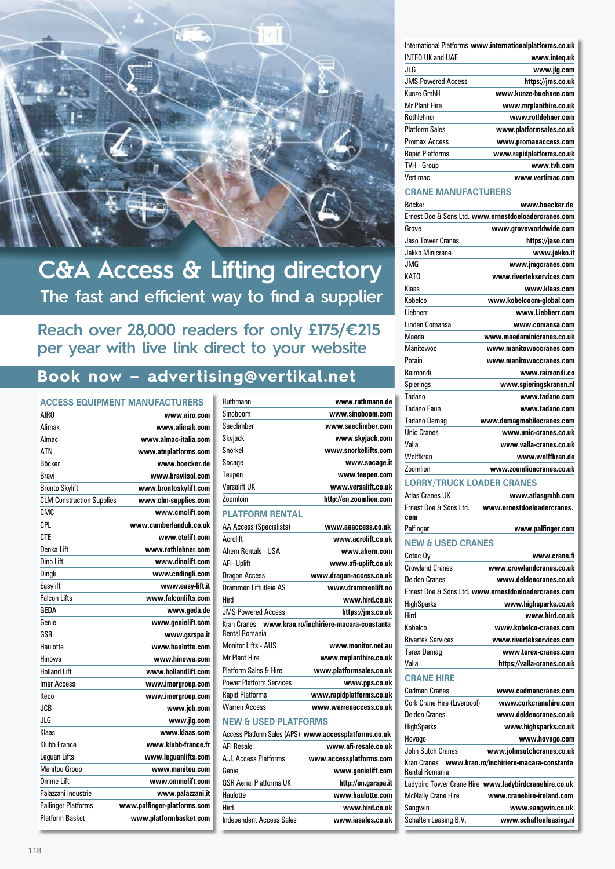

# **C&A Access & Lifting directory The fast and efficient way to find a supplier**

# **Reach over 28,000 readers for only £175/€215 per year with live link direct to your website**

# **Book now – advertising@vertikal.net**

## **Access Equipment Manufacturers**

| AIR O                            | www.airo.com                |
|----------------------------------|-----------------------------|
| Alimak                           | www.alimak.com              |
| Almac                            | www.almac-italia.com        |
| <b>ATN</b>                       | www.atnplatforms.com        |
| <b>Böcker</b>                    | www.hoecker.de              |
| Bravi                            | www.braviisol.com           |
| <b>Bronto Skylift</b>            | www.brontoskylift.com       |
| <b>CLM Construction Supplies</b> | www.clm-supplies.com        |
| CMC                              | www.cmclift.com             |
| CPI.                             | www.cumberlanduk.co.uk      |
| <b>CTE</b>                       | www.ctelift.com             |
| Denka-Lift                       | www.rothlehner.com          |
| Dino Lift                        | www.dinolift.com            |
| Dingli                           | www.cndingli.com            |
| Easylift                         | www.easy-lift.it            |
| <b>Falcon Lifts</b>              | www.falconlifts.com         |
| GEDA                             | www.geda.de                 |
| Genie                            | www.genielift.com           |
| GSR                              | www.gsrspa.it               |
| Haulotte                         | www.haulotte.com            |
| Hinowa                           | www.hinowa.com              |
| Holland I ift                    | www.hollandlift.com         |
| <b>Imer Access</b>               | www.imergroup.com           |
| Iteco                            | www.imergroup.com           |
| <b>JCB</b>                       | www.jcb.com                 |
| JLG                              | www.jlg.com                 |
| Klaas                            | www.klaas.com               |
| Klubb France                     | www.klubb-france.fr         |
| Lequan Lifts                     | www.lequanlifts.com         |
| <b>Manitou Group</b>             | www.manitou.com             |
| Omme Lift                        | www.ommelift.com            |
| Palazzani Industrie              | www.palazzani.it            |
| <b>Palfinger Platforms</b>       | www.palfinger-platforms.com |
| <b>Platform Basket</b>           | www.platformbasket.com      |

| Ruthmann     | www.ruthmann.de        |
|--------------|------------------------|
| Sinoboom     | www.sinoboom.com       |
| Saeclimber   | www.saeclimber.com     |
| Skyjack      | www.skyjack.com        |
| Snorkel      | www.snorkellifts.com   |
| Socage       | www.socage.it          |
| Teupen       | www.teupen.com         |
| Versalift UK | www.versalift.co.uk    |
| Zoomloin     | http://en.zoomlion.com |
|              |                        |

# **Platform Rental**

| AA Access (Specialists)          | www.aaaccess.co.uk                                    |
|----------------------------------|-------------------------------------------------------|
| Acrolift                         | www.acrolift.co.uk                                    |
| Ahern Rentals - USA              | www.ahern.com                                         |
| AFI- Uplift                      | www.afi-uplift.co.uk                                  |
| Dragon Access                    | www.dragon-access.co.uk                               |
| Drammen Liftutleie AS            | www.drammenlift.no                                    |
| Hird                             | www.hird.co.uk                                        |
| <b>JMS Powered Access</b>        | https://jms.co.uk                                     |
| <b>Rental Romania</b>            | Kran Cranes www.kran.ro/inchiriere-macara-constanta   |
| Monitor Lifts - AUS              | www.monitor.net.au                                    |
| Mr Plant Hire                    | www.mrplanthire.co.uk                                 |
| <b>Platform Sales &amp; Hire</b> | www.platformsales.co.uk                               |
| <b>Power Platform Services</b>   | www.pps.co.uk                                         |
| <b>Rapid Platforms</b>           | www.rapidplatforms.co.uk                              |
| <b>Warren Access</b>             | www.warrenaccess.co.uk                                |
| <b>NEW &amp; USED PLATFORMS</b>  |                                                       |
|                                  | Access Platform Sales (APS) www.accessplatforms.co.uk |

# AFI Resale **www.afi-resale.co.uk** A.J. Access Platforms **www.accessplatforms.com** Genie **www.genielift.com** GSR Aerial Platforms UK **http://en.gsrspa.it** Haulotte **www.haulotte.com**  Hird **www.hird.co.uk** Independent Access Sales **www.iasales.co.uk**

| International Platforms www.internationalplatforms.co.uk |                           |
|----------------------------------------------------------|---------------------------|
| www.integ.uk                                             | <b>INTEQ UK and UAE</b>   |
| www.jlg.com                                              | JLG                       |
| https://jms.co.uk                                        | <b>JMS Powered Access</b> |
| www.kunze-buehnen.com                                    | Kunze GmbH                |
| www.mrplanthire.co.uk                                    | <b>Mr Plant Hire</b>      |
| www.rothlehner.com                                       | Rothlehner                |
| www.platformsales.co.uk                                  | <b>Platform Sales</b>     |
| www.promaxaccess.com                                     | <b>Promax Access</b>      |
| www.rapidplatforms.co.uk                                 | <b>Rapid Platforms</b>    |
| www.tvh.com                                              | <b>TVH - Group</b>        |
| www.vertimac.com                                         | Vertimac                  |

### **Crane Manufacturers**

| <b>Böcker</b>      | www.boecker.de                                       |
|--------------------|------------------------------------------------------|
|                    | Ernest Doe & Sons Ltd. www.ernestdoeloadercranes.com |
| Grove              | www.groveworldwide.com                               |
| Jaso Tower Cranes  | https://jaso.com                                     |
| Jekko Minicrane    | www.jekko.it                                         |
| JMG                | www.jmgcranes.com                                    |
| <b>KATO</b>        | www.rivertekservices.com                             |
| Klaas              | www.klaas.com                                        |
| Kobelco            | www.kobelcocm-global.com                             |
| I iehherr          | www.Liebherr.com                                     |
| Linden Comansa     | www.comansa.com                                      |
| Maeda              | www.maedaminicranes.co.uk                            |
| Manitowoc          | www.manitowoccranes.com                              |
| Potain             | www.manitowoccranes.com                              |
| Raimondi           | www.raimondi.co                                      |
| Spierings          | www.spieringskranen.nl                               |
| Tadano             | www.tadano.com                                       |
| Tadano Faun        | www.tadano.com                                       |
| Tadano Demag       | www.demagmobilecranes.com                            |
| <b>Unic Cranes</b> | www.unic-cranes.co.uk                                |
| Valla              | www.valla-cranes.co.uk                               |
| Wolffkran          | www.wolffkran.de                                     |
| Zoomlion           | www.zoomlioncranes.co.uk                             |
|                    | <b>LORRY/TRUCK LOADER CRANES</b>                     |
| Atlas Cranes UK    | www.atlasgmbh.com                                    |

| Frnest Doe & Sons Ltd.<br>com | www.ernestdoeloadercranes.                           |
|-------------------------------|------------------------------------------------------|
| Palfinger                     | www.palfinger.com                                    |
| <b>NEW &amp; USED CRANES</b>  |                                                      |
| Cotac Oy                      | www.crane.fi                                         |
| <b>Crowland Cranes</b>        | www.crowlandcranes.co.uk                             |
| Delden Cranes                 | www.deldencranes.co.uk                               |
|                               | Ernest Doe & Sons Ltd. www.ernestdoeloadercranes.com |
| <b>HighSparks</b>             | www.highsparks.co.uk                                 |
| Hird                          | www.hird.co.uk                                       |
| Kobelco                       | www.kobelco-cranes.com                               |
| <b>Rivertek Services</b>      | www.rivertekservices.com                             |
| <b>Terex Demag</b>            | www.terex-cranes.com                                 |
| Valla                         | https://valla-cranes.co.uk                           |
| <b>CRANE HIRE</b>             |                                                      |
| Cadman Cranes                 | www.cadmancranes.com                                 |
| Cork Crane Hire (Liverpool)   | www.corkcranehire.com                                |
| <b>Delden Cranes</b>          | www.deldencranes.co.uk                               |
| <b>HighSparks</b>             | www.highsparks.co.uk                                 |
| Hovago                        | www.hovago.com                                       |
| John Sutch Cranes             | www.johnsutchcranes.co.uk                            |
| Kran Cranes                   | www.kran.ro/inchiriere-macara-constanta              |

| <b>Rental Romania</b>     |                                                       |
|---------------------------|-------------------------------------------------------|
|                           | Ladybird Tower Crane Hire www.ladybirdcranehire.co.uk |
| <b>McNally Crane Hire</b> | www.cranehire-ireland.com                             |
| Sangwin                   | www.sangwin.co.uk                                     |
| Schaften Leasing B.V.     | www.schaftenleasing.nl                                |
|                           |                                                       |